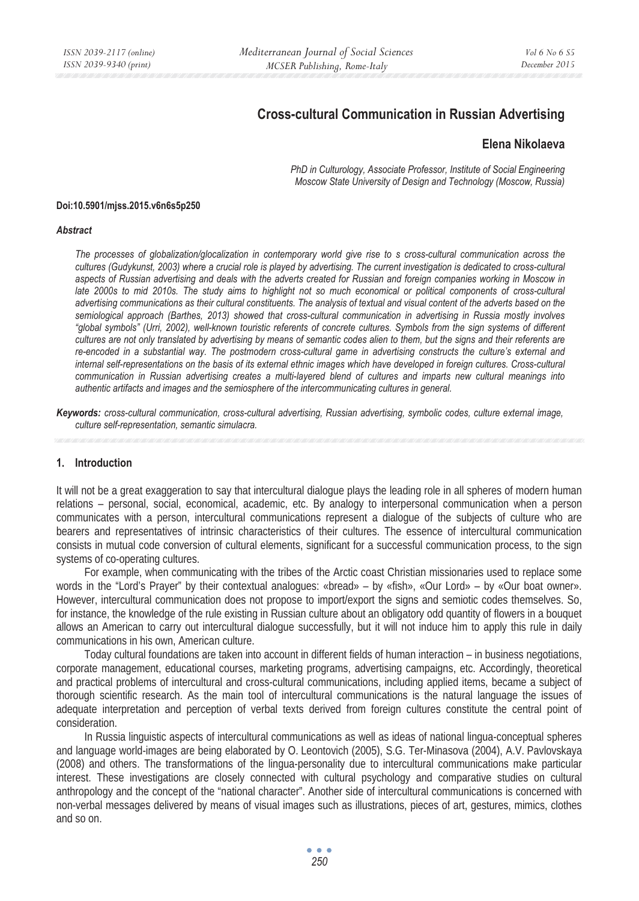# **Cross-cultural Communication in Russian Advertising**

## **Elena Nikolaeva**

*PhD in Culturology, Associate Professor, Institute of Social Engineering Moscow State University of Design and Technology (Moscow, Russia)* 

#### **Doi:10.5901/mjss.2015.v6n6s5p250**

#### *Abstract*

*The processes of globalization/glocalization in contemporary world give rise to s cross-cultural communication across the cultures (Gudykunst, 2003) where a crucial role is played by advertising. The current investigation is dedicated to cross-cultural aspects of Russian advertising and deals with the adverts created for Russian and foreign companies working in Moscow in*  late 2000s to mid 2010s. The study aims to highlight not so much economical or political components of cross-cultural *advertising communications as their cultural constituents. The analysis of textual and visual content of the adverts based on the semiological approach (Barthes, 2013) showed that cross-cultural communication in advertising in Russia mostly involves "global symbols" (Urri, 2002), well-known touristic referents of concrete cultures. Symbols from the sign systems of different cultures are not only translated by advertising by means of semantic codes alien to them, but the signs and their referents are re-encoded in a substantial way. The postmodern cross-cultural game in advertising constructs the culture's external and internal self-representations on the basis of its external ethnic images which have developed in foreign cultures. Cross-cultural communication in Russian advertising creates a multi-layered blend of cultures and imparts new cultural meanings into authentic artifacts and images and the semiosphere of the intercommunicating cultures in general.* 

*Keywords: cross-cultural communication, cross-cultural advertising, Russian advertising, symbolic codes, culture external image, culture self-representation, semantic simulacra.* 

### **1. Introduction**

It will not be a great exaggeration to say that intercultural dialogue plays the leading role in all spheres of modern human relations – personal, social, economical, academic, etc. By analogy to interpersonal communication when a person communicates with a person, intercultural communications represent a dialogue of the subjects of culture who are bearers and representatives of intrinsic characteristics of their cultures. The essence of intercultural communication consists in mutual code conversion of cultural elements, significant for a successful communication process, to the sign systems of co-operating cultures.

For example, when communicating with the tribes of the Arctic coast Christian missionaries used to replace some words in the "Lord's Prayer" by their contextual analogues: «bread» – by «fish», «Our Lord» – by «Our boat owner». However, intercultural communication does not propose to import/export the signs and semiotic codes themselves. So, for instance, the knowledge of the rule existing in Russian culture about an obligatory odd quantity of flowers in a bouquet allows an American to carry out intercultural dialogue successfully, but it will not induce him to apply this rule in daily communications in his own, American culture.

Today cultural foundations are taken into account in different fields of human interaction – in business negotiations, corporate management, educational courses, marketing programs, advertising campaigns, etc. Accordingly, theoretical and practical problems of intercultural and cross-cultural communications, including applied items, became a subject of thorough scientific research. As the main tool of intercultural communications is the natural language the issues of adequate interpretation and perception of verbal texts derived from foreign cultures constitute the central point of consideration.

In Russia linguistic aspects of intercultural communications as well as ideas of national lingua-conceptual spheres and language world-images are being elaborated by O. Leontovich (2005), S.G. Ter-Minasova (2004), A.V. Pavlovskaya (2008) and others. The transformations of the lingua-personality due to intercultural communications make particular interest. These investigations are closely connected with cultural psychology and comparative studies on cultural anthropology and the concept of the "national character". Another side of intercultural communications is concerned with non-verbal messages delivered by means of visual images such as illustrations, pieces of art, gestures, mimics, clothes and so on.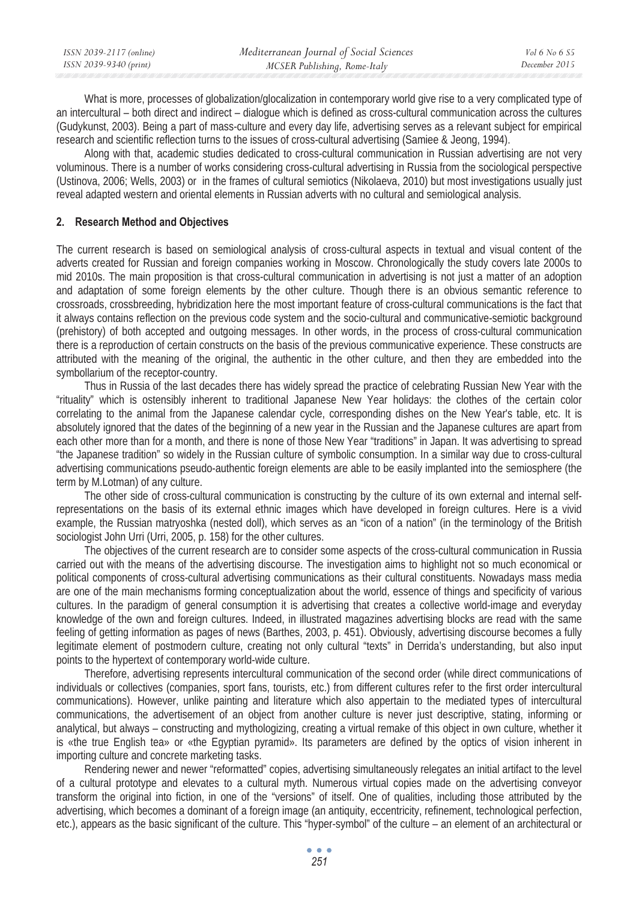| ISSN 2039-2117 (online) | Mediterranean Journal of Social Sciences | Vol 6 No 6 S5 |
|-------------------------|------------------------------------------|---------------|
| ISSN 2039-9340 (print)  | MCSER Publishing, Rome-Italy             | December 2015 |

What is more, processes of globalization/glocalization in contemporary world give rise to a very complicated type of an intercultural – both direct and indirect – dialogue which is defined as cross-cultural communication across the cultures (Gudykunst, 2003). Being a part of mass-culture and every day life, advertising serves as a relevant subject for empirical research and scientific reflection turns to the issues of cross-cultural advertising (Samiee & Jeong, 1994).

Along with that, academic studies dedicated to cross-cultural communication in Russian advertising are not very voluminous. There is a number of works considering cross-cultural advertising in Russia from the sociological perspective (Ustinova, 2006; Wells, 2003) or in the frames of cultural semiotics (Nikolaeva, 2010) but most investigations usually just reveal adapted western and oriental elements in Russian adverts with no cultural and semiological analysis.

### **2. Research Method and Objectives**

The current research is based on semiological analysis of cross-cultural aspects in textual and visual content of the adverts created for Russian and foreign companies working in Moscow. Chronologically the study covers late 2000s to mid 2010s. The main proposition is that cross-cultural communication in advertising is not just a matter of an adoption and adaptation of some foreign elements by the other culture. Though there is an obvious semantic reference to crossroads, crossbreeding, hybridization here the most important feature of cross-cultural communications is the fact that it always contains reflection on the previous code system and the socio-cultural and communicative-semiotic background (prehistory) of both accepted and outgoing messages. In other words, in the process of cross-cultural communication there is a reproduction of certain constructs on the basis of the previous communicative experience. These constructs are attributed with the meaning of the original, the authentic in the other culture, and then they are embedded into the symbollarium of the receptor-country.

Thus in Russia of the last decades there has widely spread the practice of celebrating Russian New Year with the "rituality" which is ostensibly inherent to traditional Japanese New Year holidays: the clothes of the certain color correlating to the animal from the Japanese calendar cycle, corresponding dishes on the New Year's table, etc. It is absolutely ignored that the dates of the beginning of a new year in the Russian and the Japanese cultures are apart from each other more than for a month, and there is none of those New Year "traditions" in Japan. It was advertising to spread "the Japanese tradition" so widely in the Russian culture of symbolic consumption. In a similar way due to cross-cultural advertising communications pseudo-authentic foreign elements are able to be easily implanted into the semiosphere (the term by M.Lotman) of any culture.

The other side of cross-cultural communication is constructing by the culture of its own external and internal selfrepresentations on the basis of its external ethnic images which have developed in foreign cultures. Here is a vivid example, the Russian matryoshka (nested doll), which serves as an "icon of a nation" (in the terminology of the British sociologist John Urri (Urri, 2005, p. 158) for the other cultures.

The objectives of the current research are to consider some aspects of the cross-cultural communication in Russia carried out with the means of the advertising discourse. The investigation aims to highlight not so much economical or political components of cross-cultural advertising communications as their cultural constituents. Nowadays mass media are one of the main mechanisms forming conceptualization about the world, essence of things and specificity of various cultures. In the paradigm of general consumption it is advertising that creates a collective world-image and everyday knowledge of the own and foreign cultures. Indeed, in illustrated magazines advertising blocks are read with the same feeling of getting information as pages of news (Barthes, 2003, p. 451). Obviously, advertising discourse becomes a fully legitimate element of postmodern culture, creating not only cultural "texts" in Derrida's understanding, but also input points to the hypertext of contemporary world-wide culture.

Therefore, advertising represents intercultural communication of the second order (while direct communications of individuals or collectives (companies, sport fans, tourists, etc.) from different cultures refer to the first order intercultural communications). However, unlike painting and literature which also appertain to the mediated types of intercultural communications, the advertisement of an object from another culture is never just descriptive, stating, informing or analytical, but always – constructing and mythologizing, creating a virtual remake of this object in own culture, whether it is «the true English tea» or «the Egyptian pyramid». Its parameters are defined by the optics of vision inherent in importing culture and concrete marketing tasks.

Rendering newer and newer "reformatted" copies, advertising simultaneously relegates an initial artifact to the level of a cultural prototype and elevates to a cultural myth. Numerous virtual copies made on the advertising conveyor transform the original into fiction, in one of the "versions" of itself. One of qualities, including those attributed by the advertising, which becomes a dominant of a foreign image (an antiquity, eccentricity, refinement, technological perfection, etc.), appears as the basic significant of the culture. This "hyper-symbol" of the culture – an element of an architectural or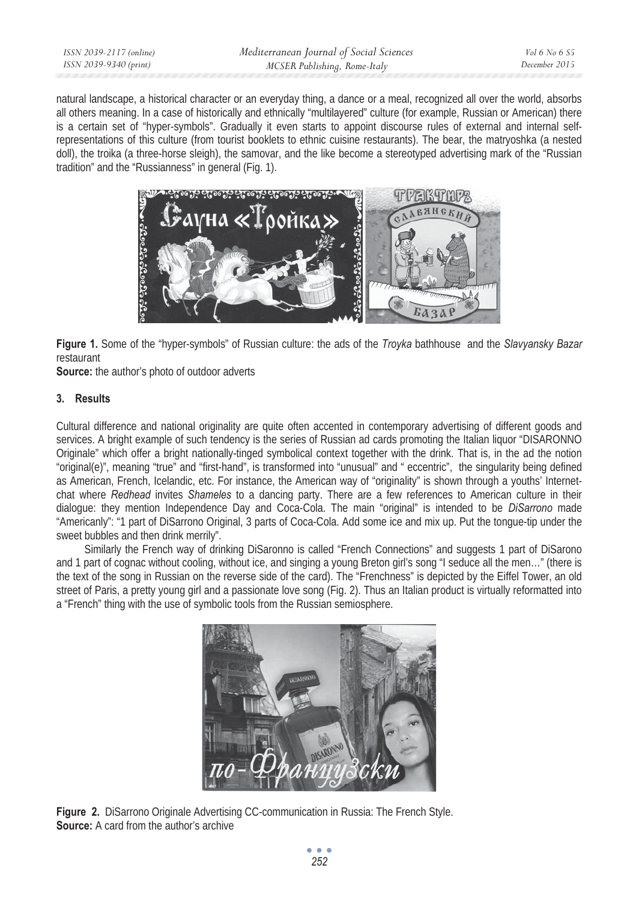natural landscape, a historical character or an everyday thing, a dance or a meal, recognized all over the world, absorbs all others meaning. In a case of historically and ethnically "multilayered" culture (for example, Russian or American) there is a certain set of "hyper-symbols". Gradually it even starts to appoint discourse rules of external and internal selfrepresentations of this culture (from tourist booklets to ethnic cuisine restaurants). The bear, the matryoshka (a nested doll), the troika (a three-horse sleigh), the samovar, and the like become a stereotyped advertising mark of the "Russian tradition" and the "Russianness" in general (Fig. 1).



**Figure 1.** Some of the "hyper-symbols" of Russian culture: the ads of the *Troyka* bathhouse and the *Slavyansky Bazar* restaurant

**Source:** the author's photo of outdoor adverts

## **3. Results**

Cultural difference and national originality are quite often accented in contemporary advertising of different goods and services. A bright example of such tendency is the series of Russian ad cards promoting the Italian liquor "DISARONNO Originale" which offer a bright nationally-tinged symbolical context together with the drink. That is, in the ad the notion "original(e)", meaning "true" and "first-hand", is transformed into "unusual" and " eccentric", the singularity being defined as American, French, Icelandic, etc. For instance, the American way of "originality" is shown through a youths' Internetchat where *Redhead* invites *Shameles* to a dancing party. There are a few references to American culture in their dialogue: they mention Independence Day and Coca-Cola. The main "original" is intended to be *DiSarrono* made "Americanly": "1 part of DiSarrono Original, 3 parts of Coca-Cola. Add some ice and mix up. Put the tongue-tip under the sweet bubbles and then drink merrily".

Similarly the French way of drinking DiSaronno is called "French Connections" and suggests 1 part of DiSarono and 1 part of cognac without cooling, without ice, and singing a young Breton girl's song "I seduce all the men…" (there is the text of the song in Russian on the reverse side of the card). The "Frenchness" is depicted by the Eiffel Tower, an old street of Paris, a pretty young girl and a passionate love song (Fig. 2). Thus an Italian product is virtually reformatted into a "French" thing with the use of symbolic tools from the Russian semiosphere.





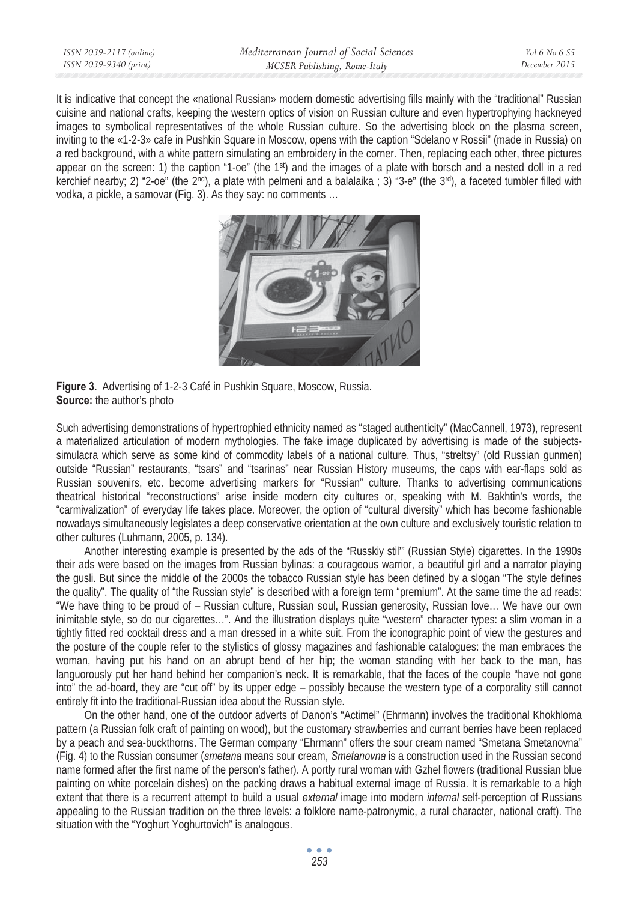| ISSN 2039-2117 (online) | Mediterranean Journal of Social Sciences | <i>Vol</i> 6 No 6 S5 |
|-------------------------|------------------------------------------|----------------------|
| ISSN 2039-9340 (print)  | MCSER Publishing, Rome-Italy             | December 2015        |
|                         |                                          |                      |

It is indicative that concept the «national Russian» modern domestic advertising fills mainly with the "traditional" Russian cuisine and national crafts, keeping the western optics of vision on Russian culture and even hypertrophying hackneyed images to symbolical representatives of the whole Russian culture. So the advertising block on the plasma screen, inviting to the «1-2-3» cafe in Pushkin Square in Moscow, opens with the caption "Sdelano v Rossii" (made in Russia) on a red background, with a white pattern simulating an embroidery in the corner. Then, replacing each other, three pictures appear on the screen: 1) the caption "1-oe" (the 1st) and the images of a plate with borsch and a nested doll in a red kerchief nearby; 2) "2-oe" (the 2<sup>nd</sup>), a plate with pelmeni and a balalaika ; 3) "3-e" (the 3<sup>rd</sup>), a faceted tumbler filled with vodka, a pickle, a samovar (Fig. 3). As they say: no comments …



**Figure 3.** Advertising of 1-2-3 Café in Pushkin Square, Moscow, Russia. **Source:** the author's photo

Such advertising demonstrations of hypertrophied ethnicity named as "staged authenticity" (MacCannell, 1973), represent a materialized articulation of modern mythologies. The fake image duplicated by advertising is made of the subjectssimulacra which serve as some kind of commodity labels of a national culture. Thus, "streltsy" (old Russian gunmen) outside "Russian" restaurants, "tsars" and "tsarinas" near Russian History museums, the caps with ear-flaps sold as Russian souvenirs, etc. become advertising markers for "Russian" culture. Thanks to advertising communications theatrical historical "reconstructions" arise inside modern city cultures or, speaking with M. Bakhtin's words, the "carmivalization" of everyday life takes place. Moreover, the option of "cultural diversity" which has become fashionable nowadays simultaneously legislates a deep conservative orientation at the own culture and exclusively touristic relation to other cultures (Luhmann, 2005, p. 134).

Another interesting example is presented by the ads of the "Russkiy stil'" (Russian Style) cigarettes. In the 1990s their ads were based on the images from Russian bylinas: a courageous warrior, a beautiful girl and a narrator playing the gusli. But since the middle of the 2000s the tobacco Russian style has been defined by a slogan "The style defines the quality". The quality of "the Russian style" is described with a foreign term "premium". At the same time the ad reads: "We have thing to be proud of – Russian culture, Russian soul, Russian generosity, Russian love… We have our own inimitable style, so do our cigarettes…". And the illustration displays quite "western" character types: a slim woman in a tightly fitted red cocktail dress and a man dressed in a white suit. From the iconographic point of view the gestures and the posture of the couple refer to the stylistics of glossy magazines and fashionable catalogues: the man embraces the woman, having put his hand on an abrupt bend of her hip; the woman standing with her back to the man, has languorously put her hand behind her companion's neck. It is remarkable, that the faces of the couple "have not gone into" the ad-board, they are "cut off" by its upper edge – possibly because the western type of a corporality still cannot entirely fit into the traditional-Russian idea about the Russian style.

On the other hand, one of the outdoor adverts of Danon's "Actimel" (Ehrmann) involves the traditional Khokhloma pattern (a Russian folk craft of painting on wood), but the customary strawberries and currant berries have been replaced by a peach and sea-buckthorns. The German company "Ehrmann" offers the sour cream named "Smetana Smetanovna" (Fig. 4) to the Russian consumer (*smetana* means sour cream, *Smetanovna* is a construction used in the Russian second name formed after the first name of the person's father). A portly rural woman with Gzhel flowers (traditional Russian blue painting on white porcelain dishes) on the packing draws a habitual external image of Russia. It is remarkable to a high extent that there is a recurrent attempt to build a usual *external* image into modern *internal* self-perception of Russians appealing to the Russian tradition on the three levels: a folklore name-patronymic, a rural character, national craft). The situation with the "Yoghurt Yoghurtovich" is analogous.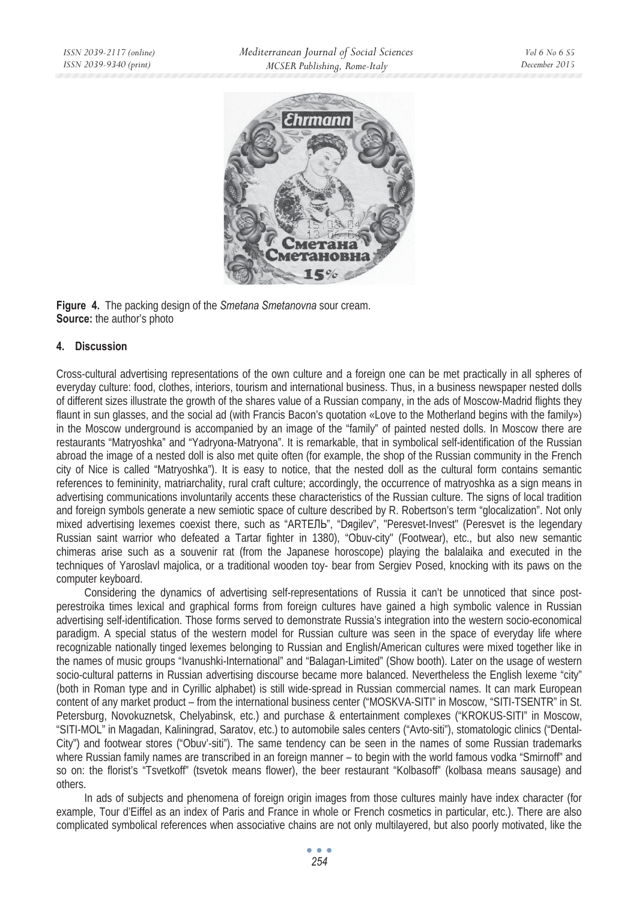

**Figure 4.** The packing design of the *Smetana Smetanovna* sour cream. **Source:** the author's photo

## **4. Discussion**

Cross-cultural advertising representations of the own culture and a foreign one can be met practically in all spheres of everyday culture: food, clothes, interiors, tourism and international business. Thus, in a business newspaper nested dolls of different sizes illustrate the growth of the shares value of a Russian company, in the ads of Moscow-Madrid flights they flaunt in sun glasses, and the social ad (with Francis Bacon's quotation «Love to the Motherland begins with the family») in the Moscow underground is accompanied by an image of the "family" of painted nested dolls. In Moscow there are restaurants "Matryoshka" and "Yadryona-Matryona". It is remarkable, that in symbolical self-identification of the Russian abroad the image of a nested doll is also met quite often (for example, the shop of the Russian community in the French city of Nice is called "Matryoshka"). It is easy to notice, that the nested doll as the cultural form contains semantic references to femininity, matriarchality, rural craft culture; accordingly, the occurrence of matryoshka as a sign means in advertising communications involuntarily accents these characteristics of the Russian culture. The signs of local tradition and foreign symbols generate a new semiotic space of culture described by R. Robertson's term "glocalization". Not only mixed advertising lexemes coexist there, such as "ARTEJH", "Dagilev", "Peresvet-Invest" (Peresvet is the legendary Russian saint warrior who defeated a Tartar fighter in 1380), "Obuv-city" (Footwear), etc., but also new semantic chimeras arise such as a souvenir rat (from the Japanese horoscope) playing the balalaika and executed in the techniques of Yaroslavl majolica, or a traditional wooden toy- bear from Sergiev Posed, knocking with its paws on the computer keyboard.

Considering the dynamics of advertising self-representations of Russia it can't be unnoticed that since postperestroika times lexical and graphical forms from foreign cultures have gained a high symbolic valence in Russian advertising self-identification. Those forms served to demonstrate Russia's integration into the western socio-economical paradigm. A special status of the western model for Russian culture was seen in the space of everyday life where recognizable nationally tinged lexemes belonging to Russian and English/American cultures were mixed together like in the names of music groups "Ivanushki-International" and "Balagan-Limited" (Show booth). Later on the usage of western socio-cultural patterns in Russian advertising discourse became more balanced. Nevertheless the English lexeme "city" (both in Roman type and in Cyrillic alphabet) is still wide-spread in Russian commercial names. It can mark European content of any market product – from the international business center ("MOSKVA-SITI" in Moscow, "SITI-TSENTR" in St. Petersburg, Novokuznetsk, Chelyabinsk, etc.) and purchase & entertainment complexes ("KROKUS-SITI" in Moscow, "SITI-MOL" in Magadan, Kaliningrad, Saratov, etc.) to automobile sales centers ("Avto-siti"), stomatologic clinics ("Dental-City") and footwear stores ("Obuv'-siti"). The same tendency can be seen in the names of some Russian trademarks where Russian family names are transcribed in an foreign manner – to begin with the world famous vodka "Smirnoff" and so on: the florist's "Tsvetkoff" (tsvetok means flower), the beer restaurant "Kolbasoff" (kolbasa means sausage) and others.

In ads of subjects and phenomena of foreign origin images from those cultures mainly have index character (for example, Tour d'Eiffel as an index of Paris and France in whole or French cosmetics in particular, etc.). There are also complicated symbolical references when associative chains are not only multilayered, but also poorly motivated, like the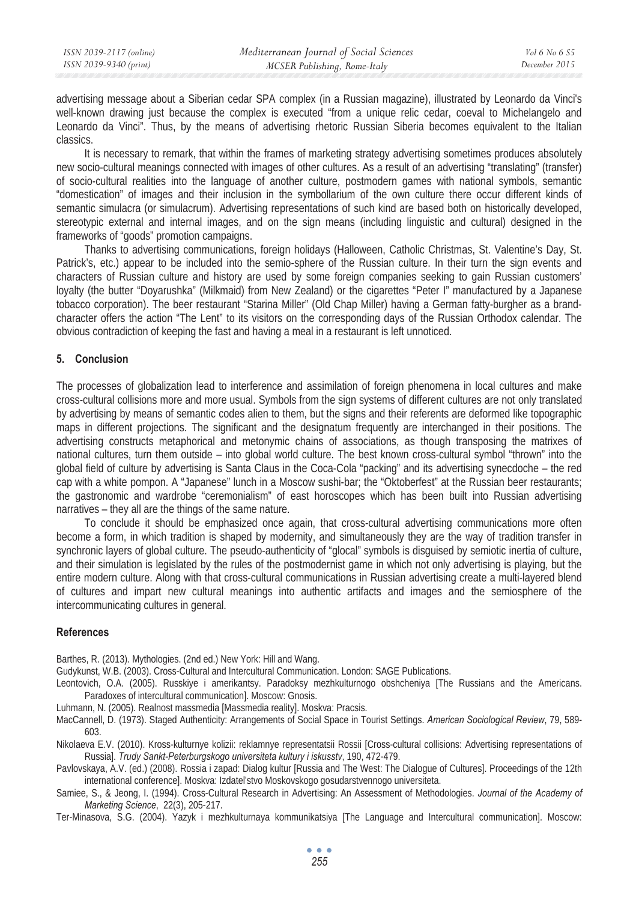advertising message about a Siberian cedar SPA complex (in a Russian magazine), illustrated by Leonardo da Vinci's well-known drawing just because the complex is executed "from a unique relic cedar, coeval to Michelangelo and Leonardo da Vinci". Thus, by the means of advertising rhetoric Russian Siberia becomes equivalent to the Italian classics.

It is necessary to remark, that within the frames of marketing strategy advertising sometimes produces absolutely new socio-cultural meanings connected with images of other cultures. As a result of an advertising "translating" (transfer) of socio-cultural realities into the language of another culture, postmodern games with national symbols, semantic "domestication" of images and their inclusion in the symbollarium of the own culture there occur different kinds of semantic simulacra (or simulacrum). Advertising representations of such kind are based both on historically developed, stereotypic external and internal images, and on the sign means (including linguistic and cultural) designed in the frameworks of "goods" promotion campaigns.

Thanks to advertising communications, foreign holidays (Halloween, Catholic Christmas, St. Valentine's Day, St. Patrick's, etc.) appear to be included into the semio-sphere of the Russian culture. In their turn the sign events and characters of Russian culture and history are used by some foreign companies seeking to gain Russian customers' loyalty (the butter "Doyarushka" (Milkmaid) from New Zealand) or the cigarettes "Peter I" manufactured by a Japanese tobacco corporation). The beer restaurant "Starina Miller" (Old Chap Miller) having a German fatty-burgher as a brandcharacter offers the action "The Lent" to its visitors on the corresponding days of the Russian Orthodox calendar. The obvious contradiction of keeping the fast and having a meal in a restaurant is left unnoticed.

## **5. Conclusion**

The processes of globalization lead to interference and assimilation of foreign phenomena in local cultures and make cross-cultural collisions more and more usual. Symbols from the sign systems of different cultures are not only translated by advertising by means of semantic codes alien to them, but the signs and their referents are deformed like topographic maps in different projections. The significant and the designatum frequently are interchanged in their positions. The advertising constructs metaphorical and metonymic chains of associations, as though transposing the matrixes of national cultures, turn them outside – into global world culture. The best known cross-cultural symbol "thrown" into the global field of culture by advertising is Santa Claus in the Coca-Cola "packing" and its advertising synecdoche – the red cap with a white pompon. A "Japanese" lunch in a Moscow sushi-bar; the "Oktoberfest" at the Russian beer restaurants; the gastronomic and wardrobe "ceremonialism" of east horoscopes which has been built into Russian advertising narratives – they all are the things of the same nature.

To conclude it should be emphasized once again, that cross-cultural advertising communications more often become a form, in which tradition is shaped by modernity, and simultaneously they are the way of tradition transfer in synchronic layers of global culture. The pseudo-authenticity of "glocal" symbols is disguised by semiotic inertia of culture, and their simulation is legislated by the rules of the postmodernist game in which not only advertising is playing, but the entire modern culture. Along with that cross-cultural communications in Russian advertising create a multi-layered blend of cultures and impart new cultural meanings into authentic artifacts and images and the semiosphere of the intercommunicating cultures in general.

## **References**

Barthes, R. (2013). Mythologies. (2nd ed.) New York: Hill and Wang.

- Gudykunst, W.B. (2003). Cross-Cultural and Intercultural Communication. London: SAGE Publications.
- Leontovich, O.A. (2005). Russkiye i amerikantsy. Paradoksy mezhkulturnogo obshcheniya [The Russians and the Americans. Paradoxes of intercultural communication]. Moscow: Gnosis.
- Luhmann, N. (2005). Realnost massmedia [Massmedia reality]. Moskva: Pracsis.
- MacCannell, D. (1973). Staged Authenticity: Arrangements of Social Space in Tourist Settings. *American Sociological Review*, 79, 589- 603.

Nikolaeva E.V. (2010). Kross-kulturnye kolizii: reklamnye representatsii Rossii [Cross-cultural collisions: Advertising representations of Russia]. *Trudy Sankt-Peterburgskogo universiteta kultury i iskusstv*, 190, 472-479.

Pavlovskaya, A.V. (ed.) (2008). Rossia i zapad: Dialog kultur [Russia and The West: The Dialogue of Cultures]. Proceedings of the 12th international conference]. Moskva: Izdatel'stvo Moskovskogo gosudarstvennogo universiteta.

Samiee, S., & Jeong, I. (1994). Cross-Cultural Research in Advertising: An Assessment of Methodologies. *Journal of the Academy of Marketing Science*, 22(3), 205-217.

Ter-Minasova, S.G. (2004). Yazyk i mezhkulturnaya kommunikatsiya [The Language and Intercultural communication]. Moscow: